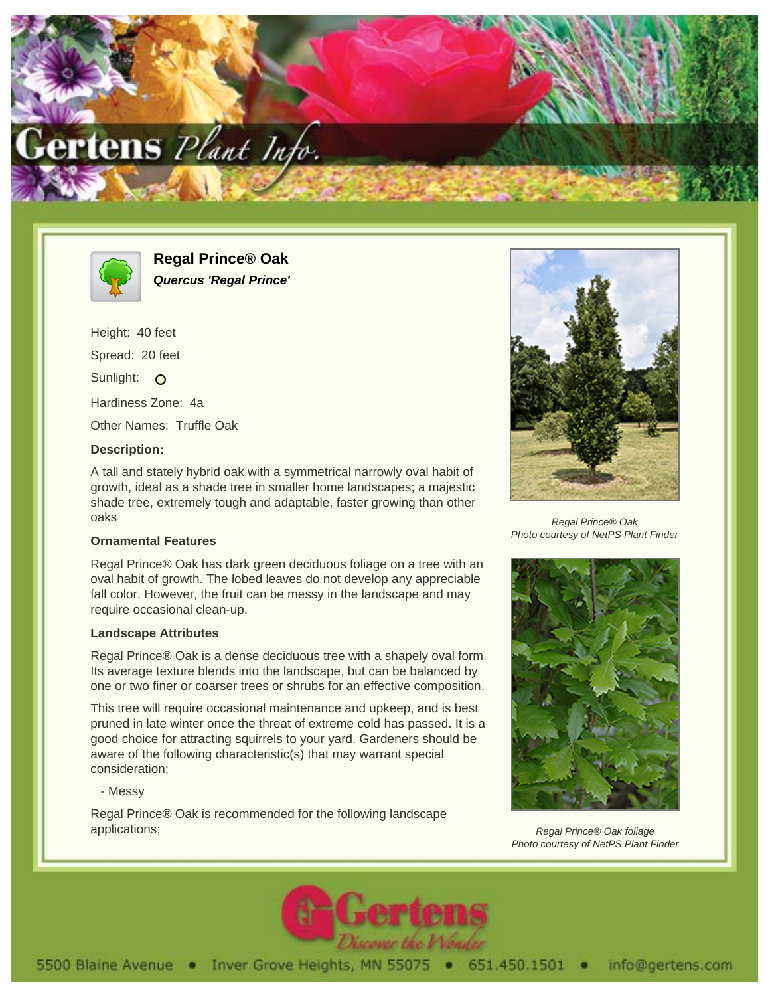



**Regal Prince® Oak Quercus 'Regal Prince'**

Height: 40 feet Spread: 20 feet Sunlight: O Hardiness Zone: 4a Other Names: Truffle Oak

## **Description:**

A tall and stately hybrid oak with a symmetrical narrowly oval habit of growth, ideal as a shade tree in smaller home landscapes; a majestic shade tree, extremely tough and adaptable, faster growing than other oaks

## **Ornamental Features**

Regal Prince® Oak has dark green deciduous foliage on a tree with an oval habit of growth. The lobed leaves do not develop any appreciable fall color. However, the fruit can be messy in the landscape and may require occasional clean-up.

## **Landscape Attributes**

Regal Prince® Oak is a dense deciduous tree with a shapely oval form. Its average texture blends into the landscape, but can be balanced by one or two finer or coarser trees or shrubs for an effective composition.

This tree will require occasional maintenance and upkeep, and is best pruned in late winter once the threat of extreme cold has passed. It is a good choice for attracting squirrels to your yard. Gardeners should be aware of the following characteristic(s) that may warrant special consideration;

- Messy

Regal Prince® Oak is recommended for the following landscape applications;



Regal Prince® Oak Photo courtesy of NetPS Plant Finder



Regal Prince® Oak foliage Photo courtesy of NetPS Plant Finder